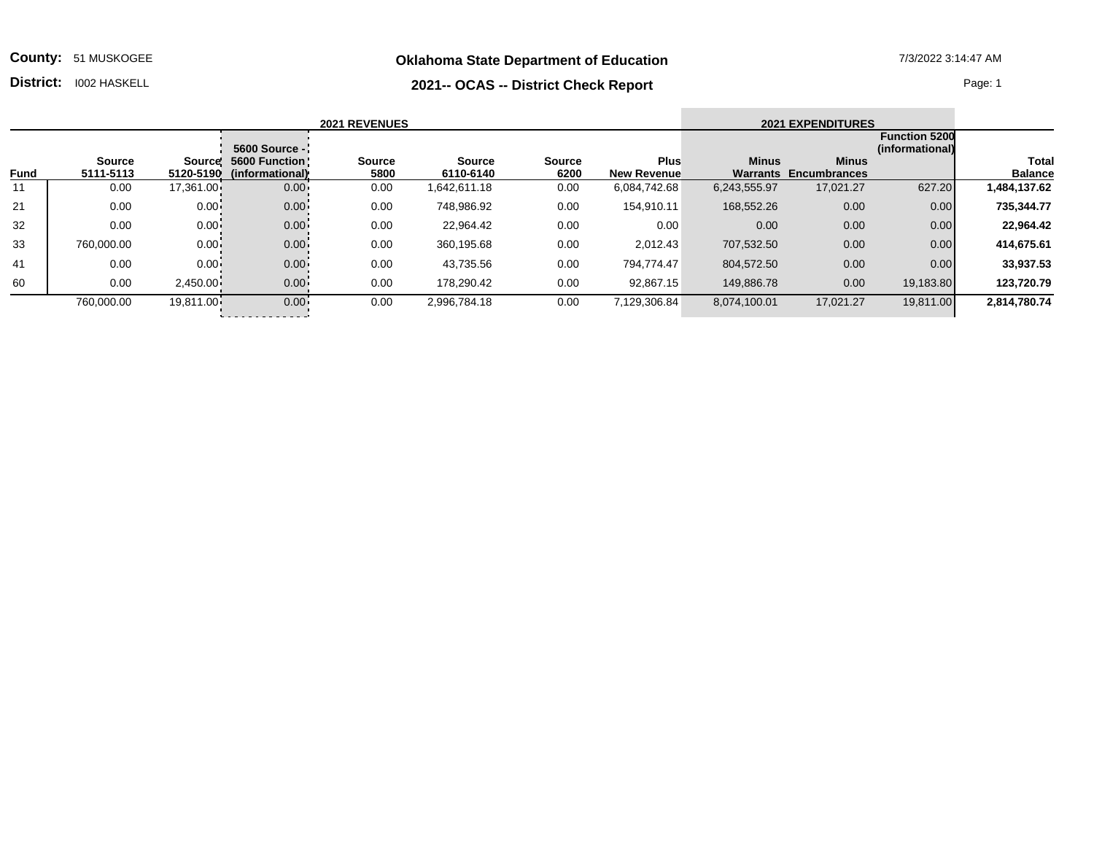**Oklahoma State Department of Education** 7/3/2022 3:14:47 AM

**County:** 51 MUSKOGEE

## **District:** I002 HASKELL Page: 1

| <b>2021 REVENUES</b> |                     |           |                                                     |                       |                            |                       |                                   | <b>2021 EXPENDITURES</b> |                                              |                                         |                                |
|----------------------|---------------------|-----------|-----------------------------------------------------|-----------------------|----------------------------|-----------------------|-----------------------------------|--------------------------|----------------------------------------------|-----------------------------------------|--------------------------------|
|                      |                     |           | 5600 Source -                                       |                       |                            |                       |                                   |                          |                                              | <b>Function 5200</b><br>(informational) |                                |
| <b>Fund</b>          | Source<br>5111-5113 |           | Source! 5600 Function!<br>5120-5190 (informational) | <b>Source</b><br>5800 | <b>Source</b><br>6110-6140 | <b>Source</b><br>6200 | <b>Plus</b><br><b>New Revenue</b> | <b>Minus</b>             | <b>Minus</b><br><b>Warrants Encumbrances</b> |                                         | <b>Total</b><br><b>Balance</b> |
| 11                   | 0.00                | 17,361.00 | $0.00 -$                                            | 0.00                  | 1,642,611.18               | 0.00                  | 6,084,742.68                      | 6,243,555.97             | 17,021.27                                    | 627.20                                  | 1,484,137.62                   |
| 21                   | 0.00                | $0.00 -$  | $0.00 -$                                            | 0.00                  | 748,986.92                 | 0.00                  | 154.910.11                        | 168,552.26               | 0.00                                         | 0.00                                    | 735,344.77                     |
| 32                   | 0.00                | $0.00 -$  | $0.00 -$                                            | 0.00                  | 22,964.42                  | 0.00                  | 0.00                              | 0.00                     | 0.00                                         | 0.00                                    | 22,964.42                      |
| 33                   | 760,000.00          | $0.00 -$  | $0.00 -$                                            | 0.00                  | 360,195.68                 | 0.00                  | 2,012.43                          | 707,532.50               | 0.00                                         | 0.00                                    | 414,675.61                     |
| 41                   | 0.00                | $0.00 -$  | $0.00 -$                                            | 0.00                  | 43,735.56                  | 0.00                  | 794,774.47                        | 804,572.50               | 0.00                                         | 0.00                                    | 33,937.53                      |

60 0.00 2,450.00 0.00 0.00 178,290.42 0.00 92,867.15 149,886.78 0.00 19,183.80 **123,720.79**

760,000.00 19,811.00 0.00 0.00 2,996,784.18 0.00 7,129,306.84 8,074,100.01 17,021.27 19,811.00 **2,814,780.74**